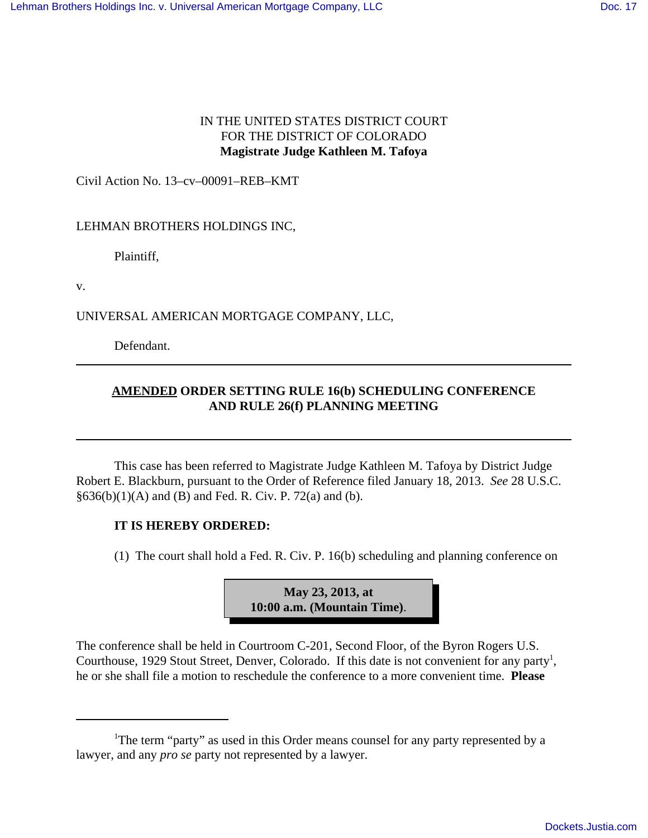## IN THE UNITED STATES DISTRICT COURT FOR THE DISTRICT OF COLORADO **Magistrate Judge Kathleen M. Tafoya**

Civil Action No. 13–cv–00091–REB–KMT

LEHMAN BROTHERS HOLDINGS INC,

Plaintiff,

v.

UNIVERSAL AMERICAN MORTGAGE COMPANY, LLC,

Defendant.

## **AMENDED ORDER SETTING RULE 16(b) SCHEDULING CONFERENCE AND RULE 26(f) PLANNING MEETING**

This case has been referred to Magistrate Judge Kathleen M. Tafoya by District Judge Robert E. Blackburn, pursuant to the Order of Reference filed January 18, 2013. *See* 28 U.S.C.  $§636(b)(1)(A)$  and (B) and Fed. R. Civ. P. 72(a) and (b).

## **IT IS HEREBY ORDERED:**

(1) The court shall hold a Fed. R. Civ. P. 16(b) scheduling and planning conference on



The conference shall be held in Courtroom C-201, Second Floor, of the Byron Rogers U.S. Courthouse, 1929 Stout Street, Denver, Colorado. If this date is not convenient for any party<sup>1</sup>, he or she shall file a motion to reschedule the conference to a more convenient time. **Please**

<sup>&</sup>lt;sup>1</sup>The term "party" as used in this Order means counsel for any party represented by a lawyer, and any *pro se* party not represented by a lawyer.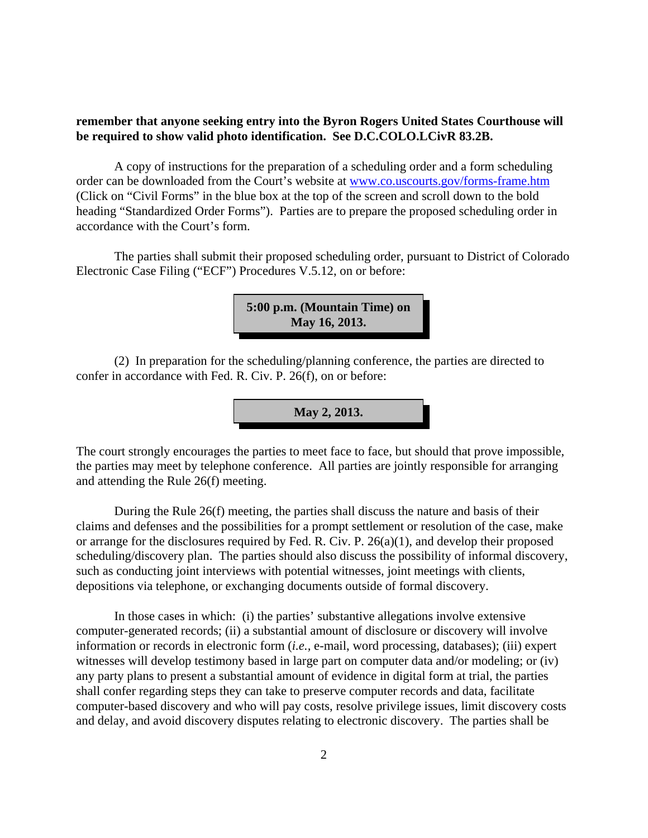## **remember that anyone seeking entry into the Byron Rogers United States Courthouse will be required to show valid photo identification. See D.C.COLO.LCivR 83.2B.**

A copy of instructions for the preparation of a scheduling order and a form scheduling order can be downloaded from the Court's website at www.co.uscourts.gov/forms-frame.htm (Click on "Civil Forms" in the blue box at the top of the screen and scroll down to the bold heading "Standardized Order Forms"). Parties are to prepare the proposed scheduling order in accordance with the Court's form.

The parties shall submit their proposed scheduling order, pursuant to District of Colorado Electronic Case Filing ("ECF") Procedures V.5.12, on or before:

```
5:00 p.m. (Mountain Time) on
May 16, 2013.
```
(2) In preparation for the scheduling/planning conference, the parties are directed to confer in accordance with Fed. R. Civ. P. 26(f), on or before:

**May 2, 2013.**

The court strongly encourages the parties to meet face to face, but should that prove impossible, the parties may meet by telephone conference. All parties are jointly responsible for arranging and attending the Rule 26(f) meeting.

During the Rule 26(f) meeting, the parties shall discuss the nature and basis of their claims and defenses and the possibilities for a prompt settlement or resolution of the case, make or arrange for the disclosures required by Fed. R. Civ. P. 26(a)(1), and develop their proposed scheduling/discovery plan. The parties should also discuss the possibility of informal discovery, such as conducting joint interviews with potential witnesses, joint meetings with clients, depositions via telephone, or exchanging documents outside of formal discovery.

In those cases in which: (i) the parties' substantive allegations involve extensive computer-generated records; (ii) a substantial amount of disclosure or discovery will involve information or records in electronic form (*i.e.,* e-mail, word processing, databases); (iii) expert witnesses will develop testimony based in large part on computer data and/or modeling; or (iv) any party plans to present a substantial amount of evidence in digital form at trial, the parties shall confer regarding steps they can take to preserve computer records and data, facilitate computer-based discovery and who will pay costs, resolve privilege issues, limit discovery costs and delay, and avoid discovery disputes relating to electronic discovery. The parties shall be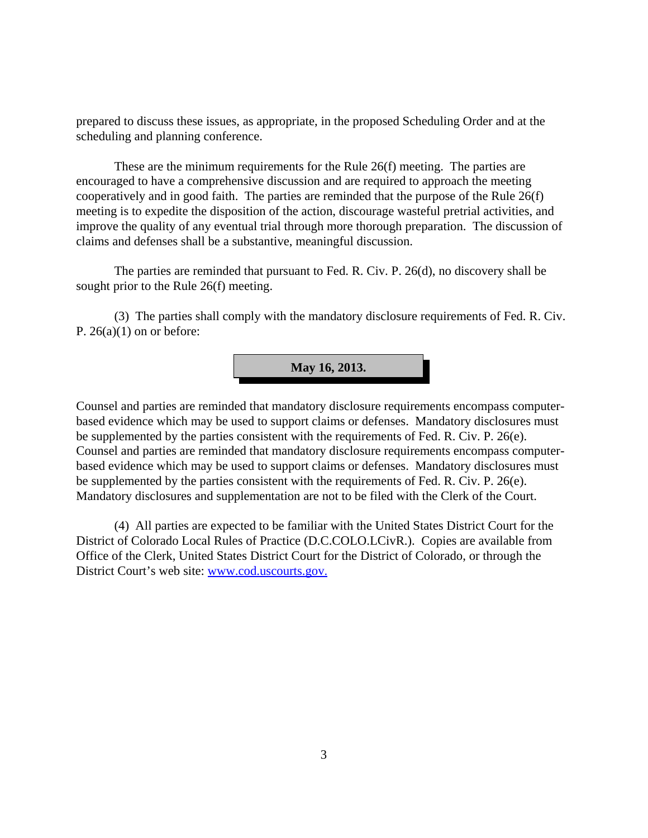prepared to discuss these issues, as appropriate, in the proposed Scheduling Order and at the scheduling and planning conference.

These are the minimum requirements for the Rule 26(f) meeting. The parties are encouraged to have a comprehensive discussion and are required to approach the meeting cooperatively and in good faith. The parties are reminded that the purpose of the Rule 26(f) meeting is to expedite the disposition of the action, discourage wasteful pretrial activities, and improve the quality of any eventual trial through more thorough preparation. The discussion of claims and defenses shall be a substantive, meaningful discussion.

The parties are reminded that pursuant to Fed. R. Civ. P. 26(d), no discovery shall be sought prior to the Rule 26(f) meeting.

(3) The parties shall comply with the mandatory disclosure requirements of Fed. R. Civ. P.  $26(a)(1)$  on or before:



Counsel and parties are reminded that mandatory disclosure requirements encompass computerbased evidence which may be used to support claims or defenses. Mandatory disclosures must be supplemented by the parties consistent with the requirements of Fed. R. Civ. P. 26(e). Counsel and parties are reminded that mandatory disclosure requirements encompass computerbased evidence which may be used to support claims or defenses. Mandatory disclosures must be supplemented by the parties consistent with the requirements of Fed. R. Civ. P. 26(e). Mandatory disclosures and supplementation are not to be filed with the Clerk of the Court.

(4) All parties are expected to be familiar with the United States District Court for the District of Colorado Local Rules of Practice (D.C.COLO.LCivR.). Copies are available from Office of the Clerk, United States District Court for the District of Colorado, or through the District Court's web site: www.cod.uscourts.gov.